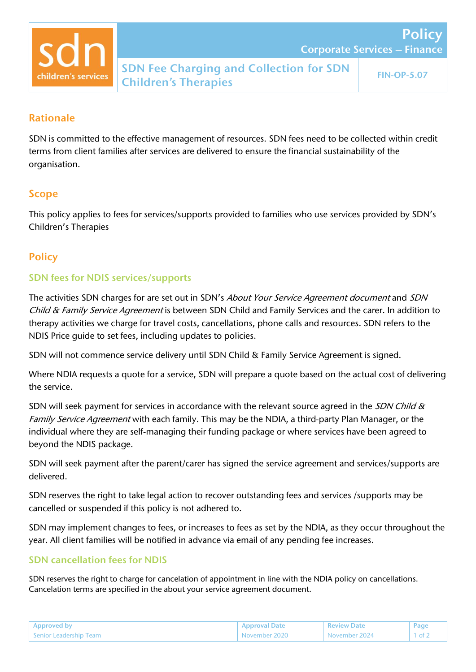

**Policy** 

## Rationale

SDN is committed to the effective management of resources. SDN fees need to be collected within credit terms from client families after services are delivered to ensure the financial sustainability of the organisation.

## Scope

This policy applies to fees for services/supports provided to families who use services provided by SDN's Children's Therapies

# **Policy**

### SDN fees for NDIS services/supports

The activities SDN charges for are set out in SDN's About Your Service Agreement document and SDN Child & Family Service Agreement is between SDN Child and Family Services and the carer. In addition to therapy activities we charge for travel costs, cancellations, phone calls and resources. SDN refers to the NDIS Price guide to set fees, including updates to policies.

SDN will not commence service delivery until SDN Child & Family Service Agreement is signed.

Where NDIA requests a quote for a service, SDN will prepare a quote based on the actual cost of delivering the service.

SDN will seek payment for services in accordance with the relevant source agreed in the SDN Child & Family Service Agreement with each family. This may be the NDIA, a third-party Plan Manager, or the individual where they are self-managing their funding package or where services have been agreed to beyond the NDIS package.

SDN will seek payment after the parent/carer has signed the service agreement and services/supports are delivered.

SDN reserves the right to take legal action to recover outstanding fees and services /supports may be cancelled or suspended if this policy is not adhered to.

SDN may implement changes to fees, or increases to fees as set by the NDIA, as they occur throughout the year. All client families will be notified in advance via email of any pending fee increases.

### SDN cancellation fees for NDIS

SDN reserves the right to charge for cancelation of appointment in line with the NDIA policy on cancellations. Cancelation terms are specified in the about your service agreement document.

| Approved by            | <b>Approval Date</b> | <b>Review Date</b> | Page             |
|------------------------|----------------------|--------------------|------------------|
| Senior Leadership Team | November 2020        | 'November 2024     | $1$ of $\lambda$ |